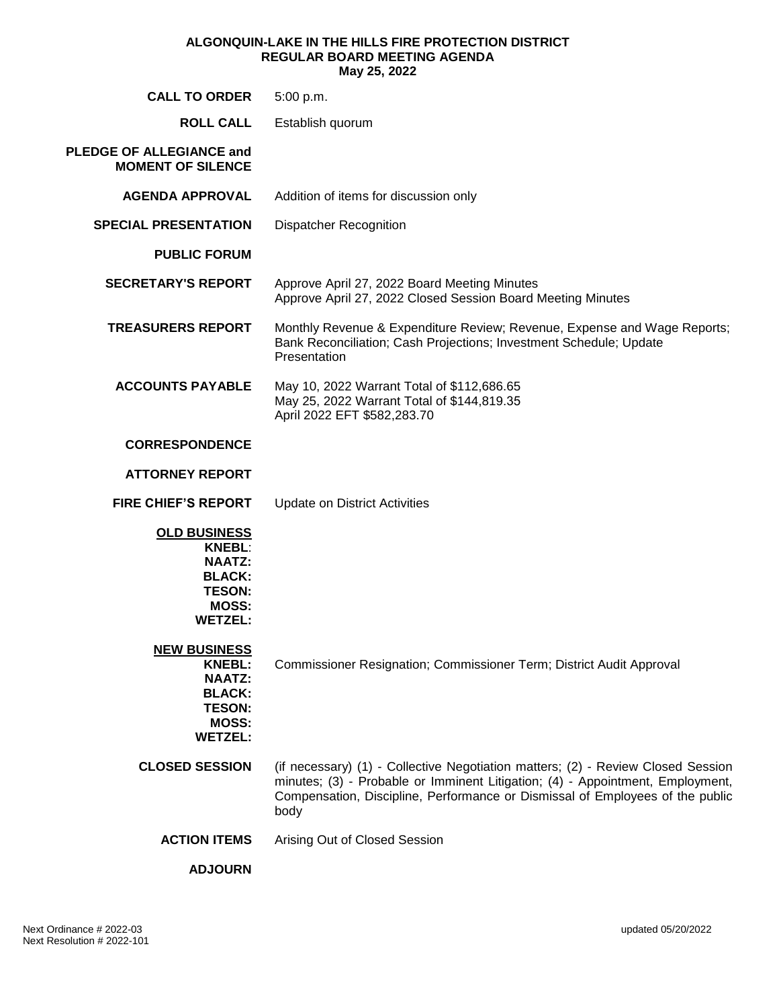#### **ALGONQUIN-LAKE IN THE HILLS FIRE PROTECTION DISTRICT REGULAR BOARD MEETING AGENDA May 25, 2022**

| <b>CALL TO ORDER</b>                                                                                                      | 5:00 p.m.                                                                                                                                                                                                                                                   |
|---------------------------------------------------------------------------------------------------------------------------|-------------------------------------------------------------------------------------------------------------------------------------------------------------------------------------------------------------------------------------------------------------|
| <b>ROLL CALL</b>                                                                                                          | Establish quorum                                                                                                                                                                                                                                            |
| <b>PLEDGE OF ALLEGIANCE and</b><br><b>MOMENT OF SILENCE</b>                                                               |                                                                                                                                                                                                                                                             |
| <b>AGENDA APPROVAL</b>                                                                                                    | Addition of items for discussion only                                                                                                                                                                                                                       |
| <b>SPECIAL PRESENTATION</b>                                                                                               | <b>Dispatcher Recognition</b>                                                                                                                                                                                                                               |
| <b>PUBLIC FORUM</b>                                                                                                       |                                                                                                                                                                                                                                                             |
| <b>SECRETARY'S REPORT</b>                                                                                                 | Approve April 27, 2022 Board Meeting Minutes<br>Approve April 27, 2022 Closed Session Board Meeting Minutes                                                                                                                                                 |
| <b>TREASURERS REPORT</b>                                                                                                  | Monthly Revenue & Expenditure Review; Revenue, Expense and Wage Reports;<br>Bank Reconciliation; Cash Projections; Investment Schedule; Update<br>Presentation                                                                                              |
| <b>ACCOUNTS PAYABLE</b>                                                                                                   | May 10, 2022 Warrant Total of \$112,686.65<br>May 25, 2022 Warrant Total of \$144,819.35<br>April 2022 EFT \$582,283.70                                                                                                                                     |
| <b>CORRESPONDENCE</b>                                                                                                     |                                                                                                                                                                                                                                                             |
| <b>ATTORNEY REPORT</b>                                                                                                    |                                                                                                                                                                                                                                                             |
| <b>FIRE CHIEF'S REPORT</b>                                                                                                | <b>Update on District Activities</b>                                                                                                                                                                                                                        |
| <b>OLD BUSINESS</b><br><b>KNEBL:</b><br><b>NAATZ:</b><br><b>BLACK:</b><br><b>TESON:</b><br><b>MOSS:</b><br><b>WETZEL:</b> |                                                                                                                                                                                                                                                             |
| <b>NEW BUSINESS</b><br><b>KNEBL:</b><br><b>NAATZ:</b><br><b>BLACK:</b><br><b>TESON:</b><br><b>MOSS:</b><br><b>WETZEL:</b> | Commissioner Resignation; Commissioner Term; District Audit Approval                                                                                                                                                                                        |
| <b>CLOSED SESSION</b>                                                                                                     | (if necessary) (1) - Collective Negotiation matters; (2) - Review Closed Session<br>minutes; (3) - Probable or Imminent Litigation; (4) - Appointment, Employment,<br>Compensation, Discipline, Performance or Dismissal of Employees of the public<br>body |
| <b>ACTION ITEMS</b>                                                                                                       | Arising Out of Closed Session                                                                                                                                                                                                                               |
| <b>ADJOURN</b>                                                                                                            |                                                                                                                                                                                                                                                             |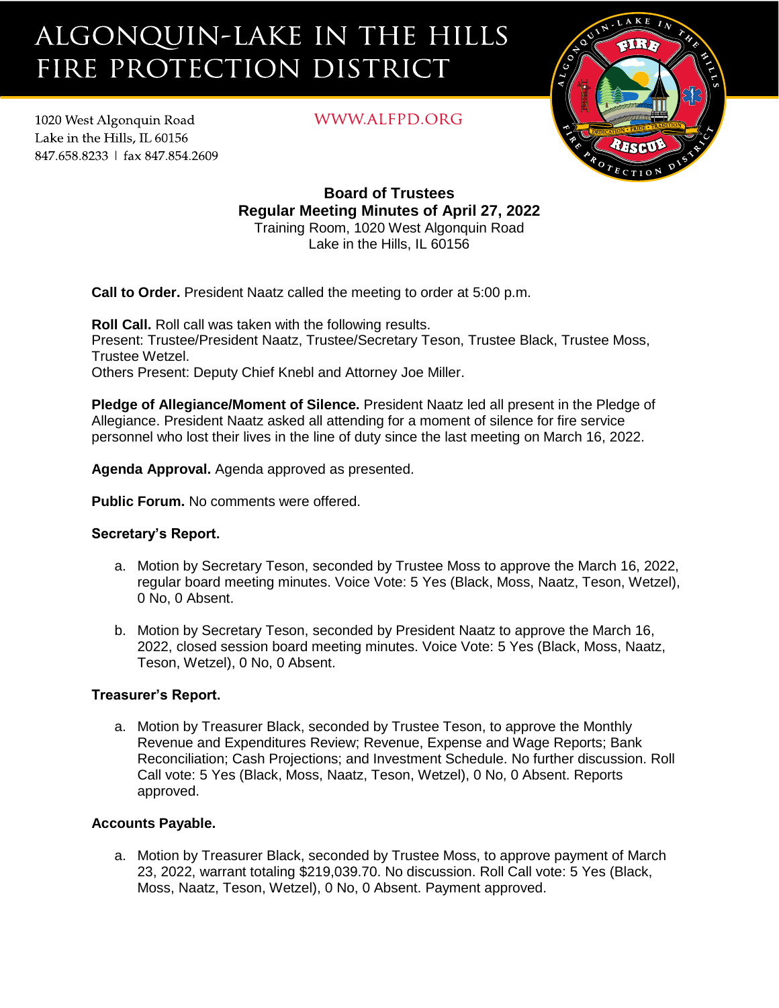# ALGONQUIN-LAKE IN THE HILLS FIRE PROTECTION DISTRICT

1020 West Algonquin Road Lake in the Hills. IL 60156 847.658.8233 | fax 847.854.2609

## WWW.ALFPD.ORG



**Board of Trustees Regular Meeting Minutes of April 27, 2022** Training Room, 1020 West Algonquin Road Lake in the Hills, IL 60156

**Call to Order.** President Naatz called the meeting to order at 5:00 p.m.

**Roll Call.** Roll call was taken with the following results. Present: Trustee/President Naatz, Trustee/Secretary Teson, Trustee Black, Trustee Moss, Trustee Wetzel. Others Present: Deputy Chief Knebl and Attorney Joe Miller.

**Pledge of Allegiance/Moment of Silence.** President Naatz led all present in the Pledge of Allegiance. President Naatz asked all attending for a moment of silence for fire service personnel who lost their lives in the line of duty since the last meeting on March 16, 2022.

**Agenda Approval.** Agenda approved as presented.

**Public Forum.** No comments were offered.

## **Secretary's Report.**

- a. Motion by Secretary Teson, seconded by Trustee Moss to approve the March 16, 2022, regular board meeting minutes. Voice Vote: 5 Yes (Black, Moss, Naatz, Teson, Wetzel), 0 No, 0 Absent.
- b. Motion by Secretary Teson, seconded by President Naatz to approve the March 16, 2022, closed session board meeting minutes. Voice Vote: 5 Yes (Black, Moss, Naatz, Teson, Wetzel), 0 No, 0 Absent.

## **Treasurer's Report.**

a. Motion by Treasurer Black, seconded by Trustee Teson, to approve the Monthly Revenue and Expenditures Review; Revenue, Expense and Wage Reports; Bank Reconciliation; Cash Projections; and Investment Schedule. No further discussion. Roll Call vote: 5 Yes (Black, Moss, Naatz, Teson, Wetzel), 0 No, 0 Absent. Reports approved.

## **Accounts Payable.**

a. Motion by Treasurer Black, seconded by Trustee Moss, to approve payment of March 23, 2022, warrant totaling \$219,039.70. No discussion. Roll Call vote: 5 Yes (Black, Moss, Naatz, Teson, Wetzel), 0 No, 0 Absent. Payment approved.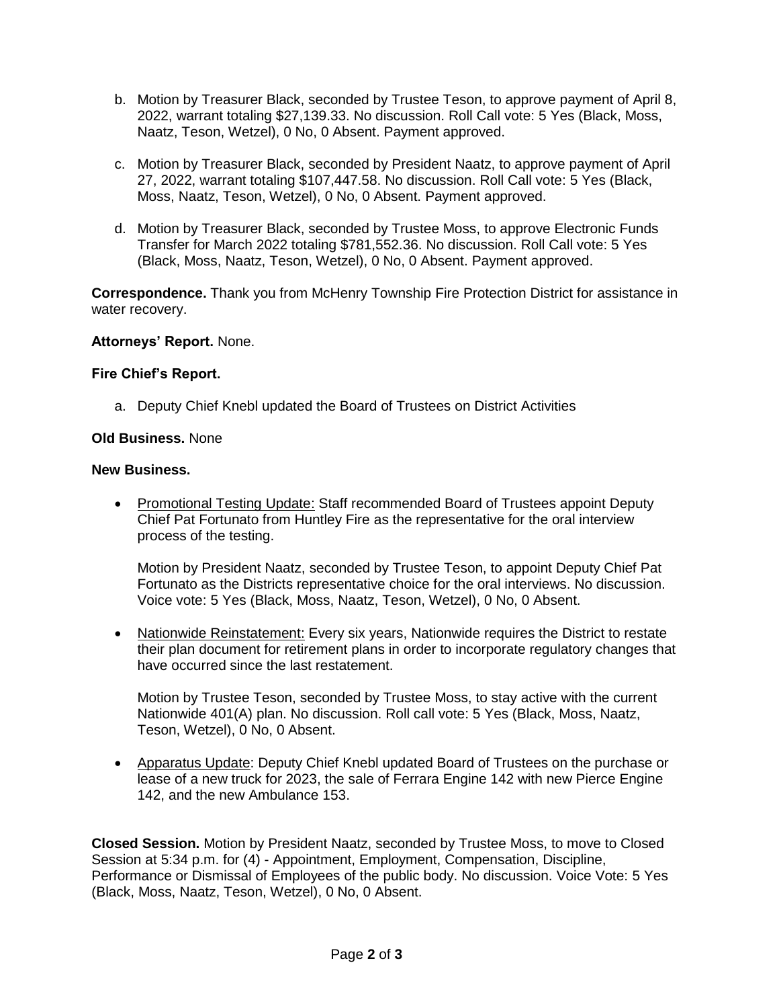- b. Motion by Treasurer Black, seconded by Trustee Teson, to approve payment of April 8, 2022, warrant totaling \$27,139.33. No discussion. Roll Call vote: 5 Yes (Black, Moss, Naatz, Teson, Wetzel), 0 No, 0 Absent. Payment approved.
- c. Motion by Treasurer Black, seconded by President Naatz, to approve payment of April 27, 2022, warrant totaling \$107,447.58. No discussion. Roll Call vote: 5 Yes (Black, Moss, Naatz, Teson, Wetzel), 0 No, 0 Absent. Payment approved.
- d. Motion by Treasurer Black, seconded by Trustee Moss, to approve Electronic Funds Transfer for March 2022 totaling \$781,552.36. No discussion. Roll Call vote: 5 Yes (Black, Moss, Naatz, Teson, Wetzel), 0 No, 0 Absent. Payment approved.

**Correspondence.** Thank you from McHenry Township Fire Protection District for assistance in water recovery.

#### **Attorneys' Report.** None.

#### **Fire Chief's Report.**

a. Deputy Chief Knebl updated the Board of Trustees on District Activities

#### **Old Business.** None

#### **New Business.**

• Promotional Testing Update: Staff recommended Board of Trustees appoint Deputy Chief Pat Fortunato from Huntley Fire as the representative for the oral interview process of the testing.

Motion by President Naatz, seconded by Trustee Teson, to appoint Deputy Chief Pat Fortunato as the Districts representative choice for the oral interviews. No discussion. Voice vote: 5 Yes (Black, Moss, Naatz, Teson, Wetzel), 0 No, 0 Absent.

• Nationwide Reinstatement: Every six years, Nationwide requires the District to restate their plan document for retirement plans in order to incorporate regulatory changes that have occurred since the last restatement.

Motion by Trustee Teson, seconded by Trustee Moss, to stay active with the current Nationwide 401(A) plan. No discussion. Roll call vote: 5 Yes (Black, Moss, Naatz, Teson, Wetzel), 0 No, 0 Absent.

• Apparatus Update: Deputy Chief Knebl updated Board of Trustees on the purchase or lease of a new truck for 2023, the sale of Ferrara Engine 142 with new Pierce Engine 142, and the new Ambulance 153.

**Closed Session.** Motion by President Naatz, seconded by Trustee Moss, to move to Closed Session at 5:34 p.m. for (4) - Appointment, Employment, Compensation, Discipline, Performance or Dismissal of Employees of the public body. No discussion. Voice Vote: 5 Yes (Black, Moss, Naatz, Teson, Wetzel), 0 No, 0 Absent.